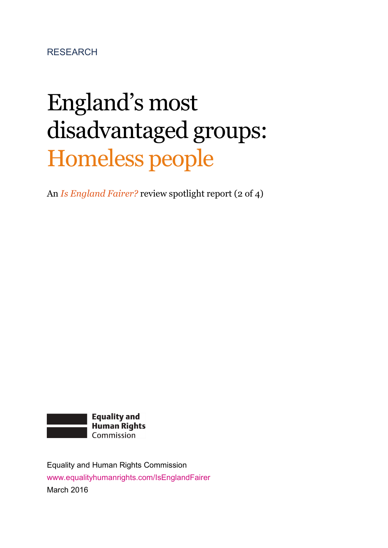RESEARCH

# England's most disadvantaged groups: Homeless people

An *Is England Fairer?* review spotlight report (2 of 4)



Equality and Human Rights Commission www.equalityhumanrights.com/IsEnglandFairer March 2016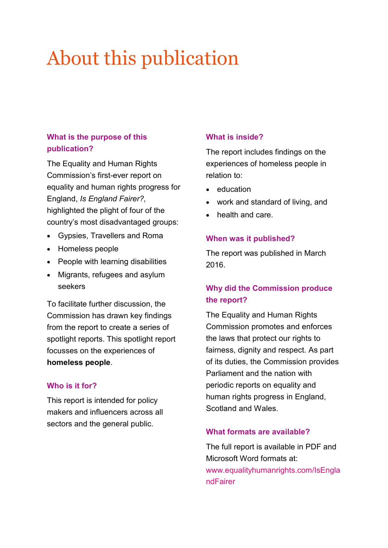## About this publication

#### **What is the purpose of this publication?**

The Equality and Human Rights Commission's first-ever report on equality and human rights progress for England, *Is England Fairer?,*  highlighted the plight of four of the country's most disadvantaged groups:

- Gypsies, Travellers and Roma
- Homeless people
- People with learning disabilities
- Migrants, refugees and asylum seekers

To facilitate further discussion, the Commission has drawn key findings from the report to create a series of spotlight reports. This spotlight report focusses on the experiences of **homeless people**.

#### **Who is it for?**

This report is intended for policy makers and influencers across all sectors and the general public.

#### **What is inside?**

The report includes findings on the experiences of homeless people in relation to:

- education
- work and standard of living, and
- health and care.

#### **When was it published?**

The report was published in March 2016.

#### **Why did the Commission produce the report?**

The Equality and Human Rights Commission promotes and enforces the laws that protect our rights to fairness, dignity and respect. As part of its duties, the Commission provides Parliament and the nation with periodic reports on equality and human rights progress in England, Scotland and Wales.

#### **What formats are available?**

The full report is available in PDF and Microsoft Word formats at: www.equalityhumanrights.com/IsEngla ndFairer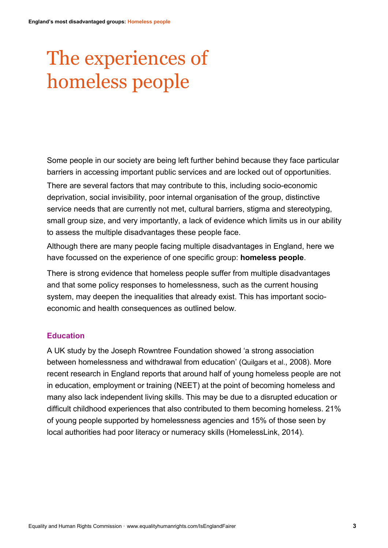# The experiences of homeless people

Some people in our society are being left further behind because they face particular barriers in accessing important public services and are locked out of opportunities. There are several factors that may contribute to this, including socio-economic deprivation, social invisibility, poor internal organisation of the group, distinctive service needs that are currently not met, cultural barriers, stigma and stereotyping, small group size, and very importantly, a lack of evidence which limits us in our ability to assess the multiple disadvantages these people face.

Although there are many people facing multiple disadvantages in England, here we have focussed on the experience of one specific group: **homeless people**.

There is strong evidence that homeless people suffer from multiple disadvantages and that some policy responses to homelessness, such as the current housing system, may deepen the inequalities that already exist. This has important socioeconomic and health consequences as outlined below.

#### **Education**

A UK study by the Joseph Rowntree Foundation showed 'a strong association between homelessness and withdrawal from education' (Quilgars et al., 2008). More recent research in England reports that around half of young homeless people are not in education, employment or training (NEET) at the point of becoming homeless and many also lack independent living skills. This may be due to a disrupted education or difficult childhood experiences that also contributed to them becoming homeless. 21% of young people supported by homelessness agencies and 15% of those seen by local authorities had poor literacy or numeracy skills (HomelessLink, 2014).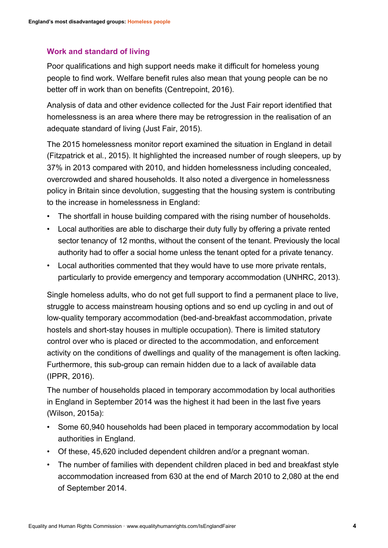#### **Work and standard of living**

Poor qualifications and high support needs make it difficult for homeless young people to find work. Welfare benefit rules also mean that young people can be no better off in work than on benefits (Centrepoint, 2016).

Analysis of data and other evidence collected for the Just Fair report identified that homelessness is an area where there may be retrogression in the realisation of an adequate standard of living (Just Fair, 2015).

The 2015 homelessness monitor report examined the situation in England in detail (Fitzpatrick et al*.*, 2015). It highlighted the increased number of rough sleepers, up by 37% in 2013 compared with 2010, and hidden homelessness including concealed, overcrowded and shared households. It also noted a divergence in homelessness policy in Britain since devolution, suggesting that the housing system is contributing to the increase in homelessness in England:

- The shortfall in house building compared with the rising number of households.
- Local authorities are able to discharge their duty fully by offering a private rented sector tenancy of 12 months, without the consent of the tenant. Previously the local authority had to offer a social home unless the tenant opted for a private tenancy.
- Local authorities commented that they would have to use more private rentals, particularly to provide emergency and temporary accommodation (UNHRC, 2013).

Single homeless adults, who do not get full support to find a permanent place to live, struggle to access mainstream housing options and so end up cycling in and out of low-quality temporary accommodation (bed-and-breakfast accommodation, private hostels and short-stay houses in multiple occupation). There is limited statutory control over who is placed or directed to the accommodation, and enforcement activity on the conditions of dwellings and quality of the management is often lacking. Furthermore, this sub-group can remain hidden due to a lack of available data (IPPR, 2016).

The number of households placed in temporary accommodation by local authorities in England in September 2014 was the highest it had been in the last five years (Wilson, 2015a):

- Some 60,940 households had been placed in temporary accommodation by local authorities in England.
- Of these, 45,620 included dependent children and/or a pregnant woman.
- The number of families with dependent children placed in bed and breakfast style accommodation increased from 630 at the end of March 2010 to 2,080 at the end of September 2014.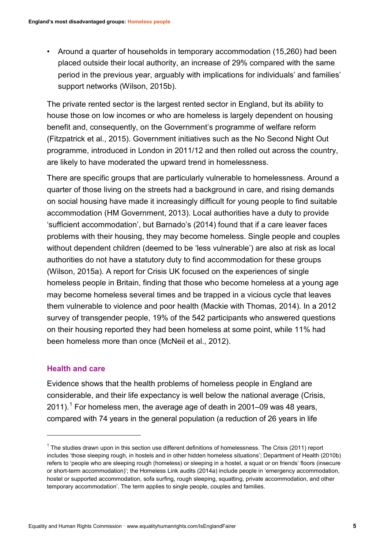• Around a quarter of households in temporary accommodation (15,260) had been placed outside their local authority, an increase of 29% compared with the same period in the previous year, arguably with implications for individuals' and families' support networks (Wilson, 2015b).

The private rented sector is the largest rented sector in England, but its ability to house those on low incomes or who are homeless is largely dependent on housing benefit and, consequently, on the Government's programme of welfare reform (Fitzpatrick et al., 2015). Government initiatives such as the No Second Night Out programme, introduced in London in 2011/12 and then rolled out across the country, are likely to have moderated the upward trend in homelessness.

There are specific groups that are particularly vulnerable to homelessness. Around a quarter of those living on the streets had a background in care, and rising demands on social housing have made it increasingly difficult for young people to find suitable accommodation (HM Government, 2013). Local authorities have a duty to provide 'sufficient accommodation', but Barnado's (2014) found that if a care leaver faces problems with their housing, they may become homeless. Single people and couples without dependent children (deemed to be 'less vulnerable') are also at risk as local authorities do not have a statutory duty to find accommodation for these groups (Wilson, 2015a). A report for Crisis UK focused on the experiences of single homeless people in Britain, finding that those who become homeless at a young age may become homeless several times and be trapped in a vicious cycle that leaves them vulnerable to violence and poor health (Mackie with Thomas, 2014). In a 2012 survey of transgender people, 19% of the 542 participants who answered questions on their housing reported they had been homeless at some point, while 11% had been homeless more than once (McNeil et al., 2012).

#### **Health and care**

-

Evidence shows that the health problems of homeless people in England are considerable, and their life expectancy is well below the national average (Crisis,  $2011$  $2011$  $2011$ ).<sup>1</sup> For homeless men, the average age of death in 2001–09 was 48 years, compared with 74 years in the general population (a reduction of 26 years in life

<span id="page-4-0"></span><sup>&</sup>lt;sup>1</sup> The studies drawn upon in this section use different definitions of homelessness. The Crisis (2011) report includes 'those sleeping rough, in hostels and in other hidden homeless situations'; Department of Health (2010b) refers to 'people who are sleeping rough (homeless) or sleeping in a hostel, a squat or on friends' floors (insecure or short-term accommodation)'; the Homeless Link audits (2014a) include people in 'emergency accommodation, hostel or supported accommodation, sofa surfing, rough sleeping, squatting, private accommodation, and other temporary accommodation'. The term applies to single people, couples and families.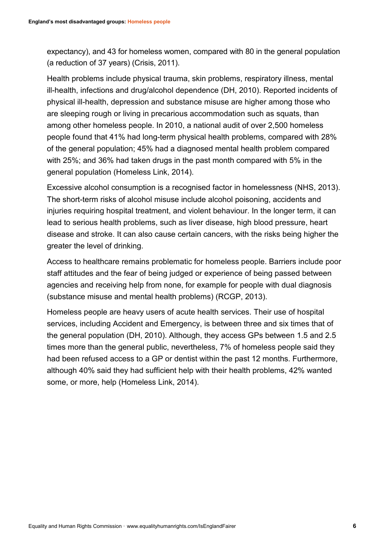expectancy), and 43 for homeless women, compared with 80 in the general population (a reduction of 37 years) (Crisis, 2011).

Health problems include physical trauma, skin problems, respiratory illness, mental ill-health, infections and drug/alcohol dependence (DH, 2010). Reported incidents of physical ill-health, depression and substance misuse are higher among those who are sleeping rough or living in precarious accommodation such as squats, than among other homeless people. In 2010, a national audit of over 2,500 homeless people found that 41% had long-term physical health problems, compared with 28% of the general population; 45% had a diagnosed mental health problem compared with 25%; and 36% had taken drugs in the past month compared with 5% in the general population (Homeless Link, 2014).

Excessive alcohol consumption is a recognised factor in homelessness (NHS, 2013). The short-term risks of alcohol misuse include alcohol poisoning, accidents and injuries requiring hospital treatment, and violent behaviour. In the longer term, it can lead to serious health problems, such as liver disease, high blood pressure, heart disease and stroke. It can also cause certain cancers, with the risks being higher the greater the level of drinking.

Access to healthcare remains problematic for homeless people. Barriers include poor staff attitudes and the fear of being judged or experience of being passed between agencies and receiving help from none, for example for people with dual diagnosis (substance misuse and mental health problems) (RCGP, 2013).

Homeless people are heavy users of acute health services. Their use of hospital services, including Accident and Emergency, is between three and six times that of the general population (DH, 2010). Although, they access GPs between 1.5 and 2.5 times more than the general public, nevertheless, 7% of homeless people said they had been refused access to a GP or dentist within the past 12 months. Furthermore, although 40% said they had sufficient help with their health problems, 42% wanted some, or more, help (Homeless Link, 2014).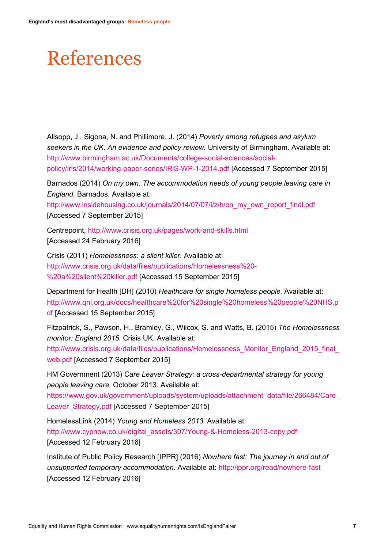### References

Allsopp, J., Sigona, N. and Phillimore, J. (2014) *Poverty among refugees and asylum seekers in the UK. An evidence and policy review.* University of Birmingham. Available at: http://www.birmingham.ac.uk/Documents/college-social-sciences/socialpolicy/iris/2014/working-paper-series/IRiS-WP-1-2014.pdf [Accessed 7 September 2015]

Barnados (2014) *On my own. The accommodation needs of young people leaving care in England.* Barnados. Available at:

http://www.insidehousing.co.uk/journals/2014/07/07/i/z/h/on\_my\_own\_report\_final.pdf [Accessed 7 September 2015]

Centrepoint, http://www.crisis.org.uk/pages/work-and-skills.html [Accessed 24 February 2016]

Crisis (2011) *Homelessness: a silent killer.* Available at: http://www.crisis.org.uk/data/files/publications/Homelessness%20- %20a%20silent%20killer.pdf [Accessed 15 September 2015]

Department for Health [DH] (2010) *Healthcare for single homeless people.* Available at: http://www.qni.org.uk/docs/healthcare%20for%20single%20homeless%20people%20NHS.p df [Accessed 15 September 2015]

Fitzpatrick, S., Pawson, H., Bramley, G., Wilcox, S. and Watts, B. (2015) *The Homelessness monitor: England 2015.* Crisis UK. Available at:

http://www.crisis.org.uk/data/files/publications/Homelessness\_Monitor\_England\_2015\_final\_ web.pdf [Accessed 7 September 2015]

HM Government (2013) *Care Leaver Strategy: a cross-departmental strategy for young people leaving care.* October 2013. Available at:

https://www.gov.uk/government/uploads/system/uploads/attachment\_data/file/266484/Care Leaver\_Strategy.pdf [Accessed 7 September 2015]

HomelessLink (2014) *Young and Homeless 2013.* Available at: http://www.cypnow.co.uk/digital\_assets/307/Young-&-Homeless-2013-copy.pdf [Accessed 12 February 2016]

Institute of Public Policy Research [IPPR] (2016) *Nowhere fast: The journey in and out of unsupported temporary accommodation*. Available at: http://ippr.org/read/nowhere-fast [Accessed 12 February 2016]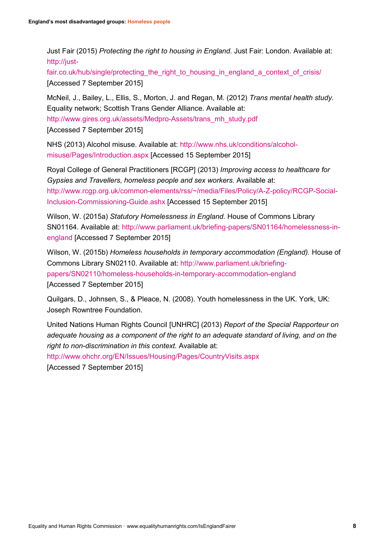Just Fair (2015) *Protecting the right to housing in England.* Just Fair: London. Available at: http://just-

fair.co.uk/hub/single/protecting the right to housing in england a context of crisis/ [Accessed 7 September 2015]

McNeil, J., Bailey, L., Ellis, S., Morton, J. and Regan, M. (2012) *Trans mental health study.* Equality network; Scottish Trans Gender Alliance. Available at: http://www.gires.org.uk/assets/Medpro-Assets/trans\_mh\_study.pdf [Accessed 7 September 2015]

NHS (2013) Alcohol misuse. Available at: http://www.nhs.uk/conditions/alcoholmisuse/Pages/Introduction.aspx [Accessed 15 September 2015]

Royal College of General Practitioners [RCGP] (2013) *Improving access to healthcare for Gypsies and Travellers, homeless people and sex workers.* Available at: http://www.rcgp.org.uk/common-elements/rss/~/media/Files/Policy/A-Z-policy/RCGP-Social-Inclusion-Commissioning-Guide.ashx [Accessed 15 September 2015]

Wilson, W. (2015a) *Statutory Homelessness in England.* House of Commons Library SN01164. Available at: http://www.parliament.uk/briefing-papers/SN01164/homelessness-inengland [Accessed 7 September 2015]

Wilson, W. (2015b) *Homeless households in temporary accommodation (England).* House of Commons Library SN02110. Available at: http://www.parliament.uk/briefingpapers/SN02110/homeless-households-in-temporary-accommodation-england [Accessed 7 September 2015]

Quilgars, D., Johnsen, S., & Pleace, N. (2008). Youth homelessness in the UK. York, UK: Joseph Rowntree Foundation.

United Nations Human Rights Council [UNHRC] (2013) *Report of the Special Rapporteur on adequate housing as a component of the right to an adequate standard of living, and on the right to non-discrimination in this context.* Available at:

http://www.ohchr.org/EN/Issues/Housing/Pages/CountryVisits.aspx [Accessed 7 September 2015]